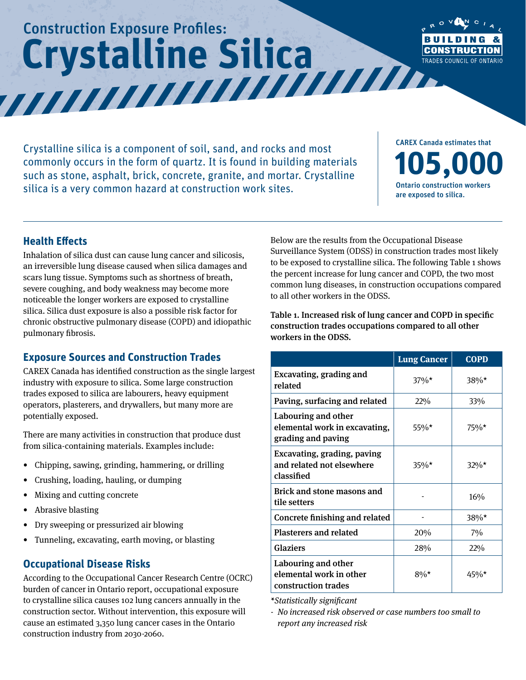# Construction Exposure Profiles:  **Crystalline Silica**



Crystalline silica is a component of soil, sand, and rocks and most commonly occurs in the form of quartz. It is found in building materials such as stone, asphalt, brick, concrete, granite, and mortar. Crystalline silica is a very common hazard at construction work sites.

CAREX Canada estimates that **105,000** Ontario construction workers are exposed to silica.

#### **Health Effects**

Inhalation of silica dust can cause lung cancer and silicosis, an irreversible lung disease caused when silica damages and scars lung tissue. Symptoms such as shortness of breath, severe coughing, and body weakness may become more noticeable the longer workers are exposed to crystalline silica. Silica dust exposure is also a possible risk factor for chronic obstructive pulmonary disease (COPD) and idiopathic pulmonary fibrosis.

### **Exposure Sources and Construction Trades**

CAREX Canada has identified construction as the single largest industry with exposure to silica. Some large construction trades exposed to silica are labourers, heavy equipment operators, plasterers, and drywallers, but many more are potentially exposed.

There are many activities in construction that produce dust from silica-containing materials. Examples include:

- Chipping, sawing, grinding, hammering, or drilling
- Crushing, loading, hauling, or dumping
- Mixing and cutting concrete
- Abrasive blasting
- Dry sweeping or pressurized air blowing
- Tunneling, excavating, earth moving, or blasting

#### **Occupational Disease Risks**

According to the Occupational Cancer Research Centre (OCRC) burden of cancer in Ontario report, occupational exposure to crystalline silica causes 102 lung cancers annually in the construction sector. Without intervention, this exposure will cause an estimated 3,350 lung cancer cases in the Ontario construction industry from 2030-2060.

Below are the results from the Occupational Disease Surveillance System (ODSS) in construction trades most likely to be exposed to crystalline silica. The following Table 1 shows the percent increase for lung cancer and COPD, the two most common lung diseases, in construction occupations compared to all other workers in the ODSS.

Table 1. Increased risk of lung cancer and COPD in specific construction trades occupations compared to all other workers in the ODSS.

|                                                                            | <b>Lung Cancer</b> | <b>COPD</b> |
|----------------------------------------------------------------------------|--------------------|-------------|
| Excavating, grading and<br>related                                         | $37\%*$            | $38\%*$     |
| Paving, surfacing and related                                              | 22%                | 33%         |
| Labouring and other<br>elemental work in excavating,<br>grading and paving | 55%*               | $75\%*$     |
| Excavating, grading, paving<br>and related not elsewhere<br>classified     | $35\%*$            | $32\%*$     |
| <b>Brick and stone masons and</b><br>tile setters                          |                    | 16%         |
| Concrete finishing and related                                             |                    | $38\%*$     |
| <b>Plasterers and related</b>                                              | 20%                | $7\%$       |
| <b>Glaziers</b>                                                            | 28%                | 22%         |
| Labouring and other<br>elemental work in other<br>construction trades      | $8\%*$             | 45%*        |

*\*Statistically significant*

*- No increased risk observed or case numbers too small to report any increased risk*